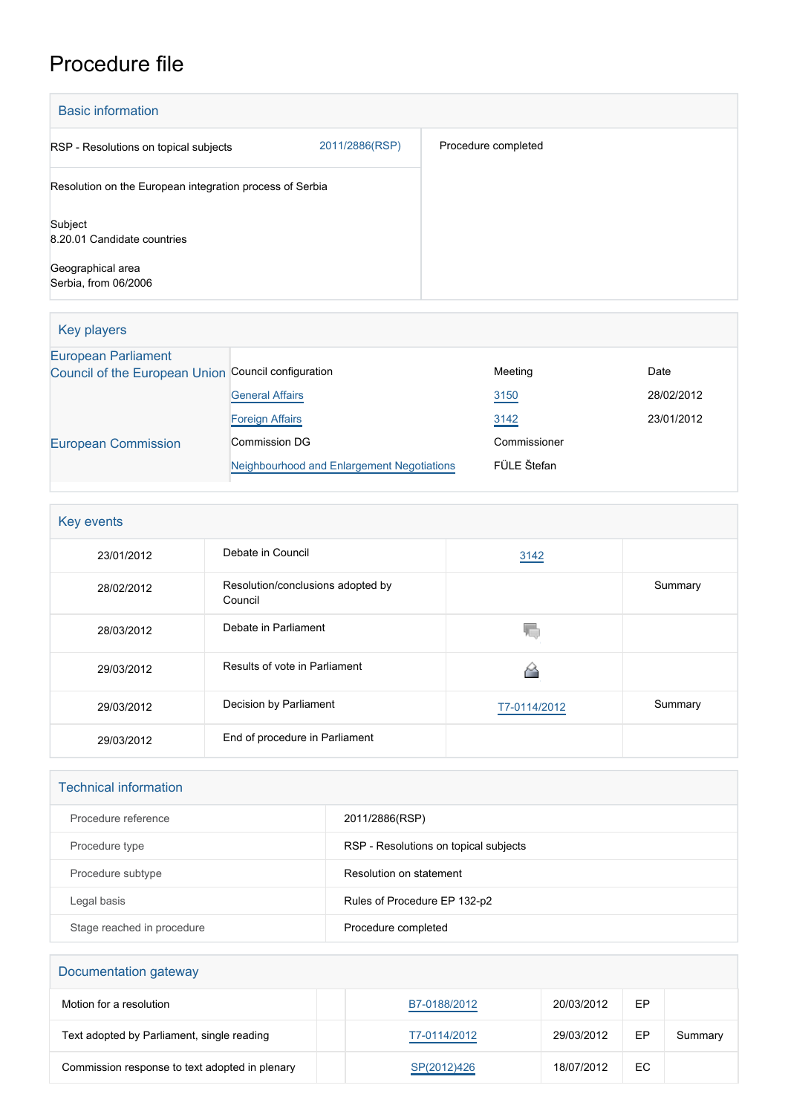## Procedure file

| <b>Basic information</b>                                 |                |                     |  |
|----------------------------------------------------------|----------------|---------------------|--|
| RSP - Resolutions on topical subjects                    | 2011/2886(RSP) | Procedure completed |  |
| Resolution on the European integration process of Serbia |                |                     |  |
| Subject<br>8.20.01 Candidate countries                   |                |                     |  |
| Geographical area<br>Serbia, from 06/2006                |                |                     |  |

| Key players                                                                       |                                            |              |            |
|-----------------------------------------------------------------------------------|--------------------------------------------|--------------|------------|
| <b>European Parliament</b><br>Council of the European Union Council configuration |                                            | Meeting      | Date       |
|                                                                                   | <b>General Affairs</b>                     | 3150         | 28/02/2012 |
|                                                                                   | <b>Foreign Affairs</b>                     | 3142         | 23/01/2012 |
| <b>European Commission</b>                                                        | Commission DG                              | Commissioner |            |
|                                                                                   | Neighbourhood and Enlargement Negotiations | FÜLE Štefan  |            |

| Key events |                                              |              |         |
|------------|----------------------------------------------|--------------|---------|
| 23/01/2012 | Debate in Council                            | 3142         |         |
| 28/02/2012 | Resolution/conclusions adopted by<br>Council |              | Summary |
| 28/03/2012 | Debate in Parliament                         | 48           |         |
| 29/03/2012 | Results of vote in Parliament                |              |         |
| 29/03/2012 | Decision by Parliament                       | T7-0114/2012 | Summary |
| 29/03/2012 | End of procedure in Parliament               |              |         |

| <b>Technical information</b> |                                       |
|------------------------------|---------------------------------------|
| Procedure reference          | 2011/2886(RSP)                        |
| Procedure type               | RSP - Resolutions on topical subjects |
| Procedure subtype            | Resolution on statement               |
| Legal basis                  | Rules of Procedure EP 132-p2          |
| Stage reached in procedure   | Procedure completed                   |

| Documentation gateway                          |              |            |    |         |  |
|------------------------------------------------|--------------|------------|----|---------|--|
| Motion for a resolution                        | B7-0188/2012 | 20/03/2012 | EP |         |  |
| Text adopted by Parliament, single reading     | T7-0114/2012 | 29/03/2012 | EP | Summary |  |
| Commission response to text adopted in plenary | SP(2012)426  | 18/07/2012 | EC |         |  |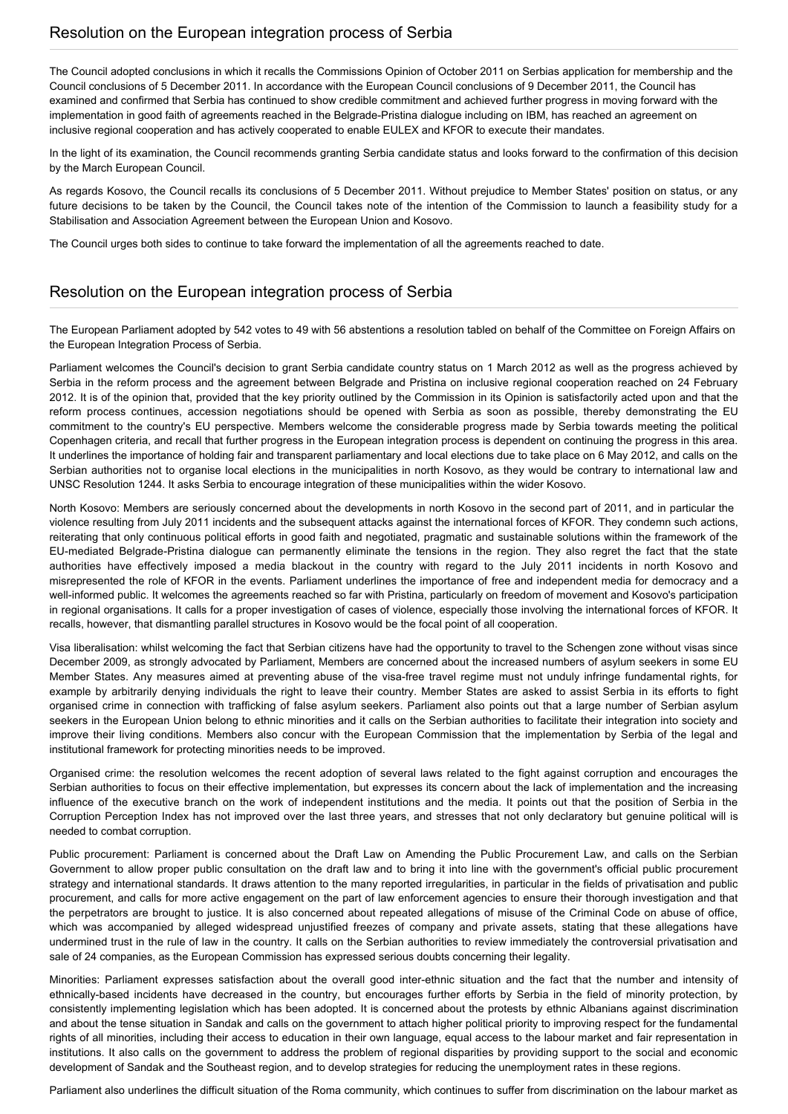The Council adopted conclusions in which it recalls the Commissions Opinion of October 2011 on Serbias application for membership and the Council conclusions of 5 December 2011. In accordance with the European Council conclusions of 9 December 2011, the Council has examined and confirmed that Serbia has continued to show credible commitment and achieved further progress in moving forward with the implementation in good faith of agreements reached in the Belgrade-Pristina dialogue including on IBM, has reached an agreement on inclusive regional cooperation and has actively cooperated to enable EULEX and KFOR to execute their mandates.

In the light of its examination, the Council recommends granting Serbia candidate status and looks forward to the confirmation of this decision by the March European Council.

As regards Kosovo, the Council recalls its conclusions of 5 December 2011. Without prejudice to Member States' position on status, or any future decisions to be taken by the Council, the Council takes note of the intention of the Commission to launch a feasibility study for a Stabilisation and Association Agreement between the European Union and Kosovo.

The Council urges both sides to continue to take forward the implementation of all the agreements reached to date.

## Resolution on the European integration process of Serbia

The European Parliament adopted by 542 votes to 49 with 56 abstentions a resolution tabled on behalf of the Committee on Foreign Affairs on the European Integration Process of Serbia.

Parliament welcomes the Council's decision to grant Serbia candidate country status on 1 March 2012 as well as the progress achieved by Serbia in the reform process and the agreement between Belgrade and Pristina on inclusive regional cooperation reached on 24 February 2012. It is of the opinion that, provided that the key priority outlined by the Commission in its Opinion is satisfactorily acted upon and that the reform process continues, accession negotiations should be opened with Serbia as soon as possible, thereby demonstrating the EU commitment to the country's EU perspective. Members welcome the considerable progress made by Serbia towards meeting the political Copenhagen criteria, and recall that further progress in the European integration process is dependent on continuing the progress in this area. It underlines the importance of holding fair and transparent parliamentary and local elections due to take place on 6 May 2012, and calls on the Serbian authorities not to organise local elections in the municipalities in north Kosovo, as they would be contrary to international law and UNSC Resolution 1244. It asks Serbia to encourage integration of these municipalities within the wider Kosovo.

North Kosovo: Members are seriously concerned about the developments in north Kosovo in the second part of 2011, and in particular the violence resulting from July 2011 incidents and the subsequent attacks against the international forces of KFOR. They condemn such actions, reiterating that only continuous political efforts in good faith and negotiated, pragmatic and sustainable solutions within the framework of the EU-mediated Belgrade-Pristina dialogue can permanently eliminate the tensions in the region. They also regret the fact that the state authorities have effectively imposed a media blackout in the country with regard to the July 2011 incidents in north Kosovo and misrepresented the role of KFOR in the events. Parliament underlines the importance of free and independent media for democracy and a well-informed public. It welcomes the agreements reached so far with Pristina, particularly on freedom of movement and Kosovo's participation in regional organisations. It calls for a proper investigation of cases of violence, especially those involving the international forces of KFOR. It recalls, however, that dismantling parallel structures in Kosovo would be the focal point of all cooperation.

Visa liberalisation: whilst welcoming the fact that Serbian citizens have had the opportunity to travel to the Schengen zone without visas since December 2009, as strongly advocated by Parliament, Members are concerned about the increased numbers of asylum seekers in some EU Member States. Any measures aimed at preventing abuse of the visa-free travel regime must not unduly infringe fundamental rights, for example by arbitrarily denying individuals the right to leave their country. Member States are asked to assist Serbia in its efforts to fight organised crime in connection with trafficking of false asylum seekers. Parliament also points out that a large number of Serbian asylum seekers in the European Union belong to ethnic minorities and it calls on the Serbian authorities to facilitate their integration into society and improve their living conditions. Members also concur with the European Commission that the implementation by Serbia of the legal and institutional framework for protecting minorities needs to be improved.

Organised crime: the resolution welcomes the recent adoption of several laws related to the fight against corruption and encourages the Serbian authorities to focus on their effective implementation, but expresses its concern about the lack of implementation and the increasing influence of the executive branch on the work of independent institutions and the media. It points out that the position of Serbia in the Corruption Perception Index has not improved over the last three years, and stresses that not only declaratory but genuine political will is needed to combat corruption.

Public procurement: Parliament is concerned about the Draft Law on Amending the Public Procurement Law, and calls on the Serbian Government to allow proper public consultation on the draft law and to bring it into line with the government's official public procurement strategy and international standards. It draws attention to the many reported irregularities, in particular in the fields of privatisation and public procurement, and calls for more active engagement on the part of law enforcement agencies to ensure their thorough investigation and that the perpetrators are brought to justice. It is also concerned about repeated allegations of misuse of the Criminal Code on abuse of office, which was accompanied by alleged widespread unjustified freezes of company and private assets, stating that these allegations have undermined trust in the rule of law in the country. It calls on the Serbian authorities to review immediately the controversial privatisation and sale of 24 companies, as the European Commission has expressed serious doubts concerning their legality.

Minorities: Parliament expresses satisfaction about the overall good inter-ethnic situation and the fact that the number and intensity of ethnically-based incidents have decreased in the country, but encourages further efforts by Serbia in the field of minority protection, by consistently implementing legislation which has been adopted. It is concerned about the protests by ethnic Albanians against discrimination and about the tense situation in Sandak and calls on the government to attach higher political priority to improving respect for the fundamental rights of all minorities, including their access to education in their own language, equal access to the labour market and fair representation in institutions. It also calls on the government to address the problem of regional disparities by providing support to the social and economic development of Sandak and the Southeast region, and to develop strategies for reducing the unemployment rates in these regions.

Parliament also underlines the difficult situation of the Roma community, which continues to suffer from discrimination on the labour market as